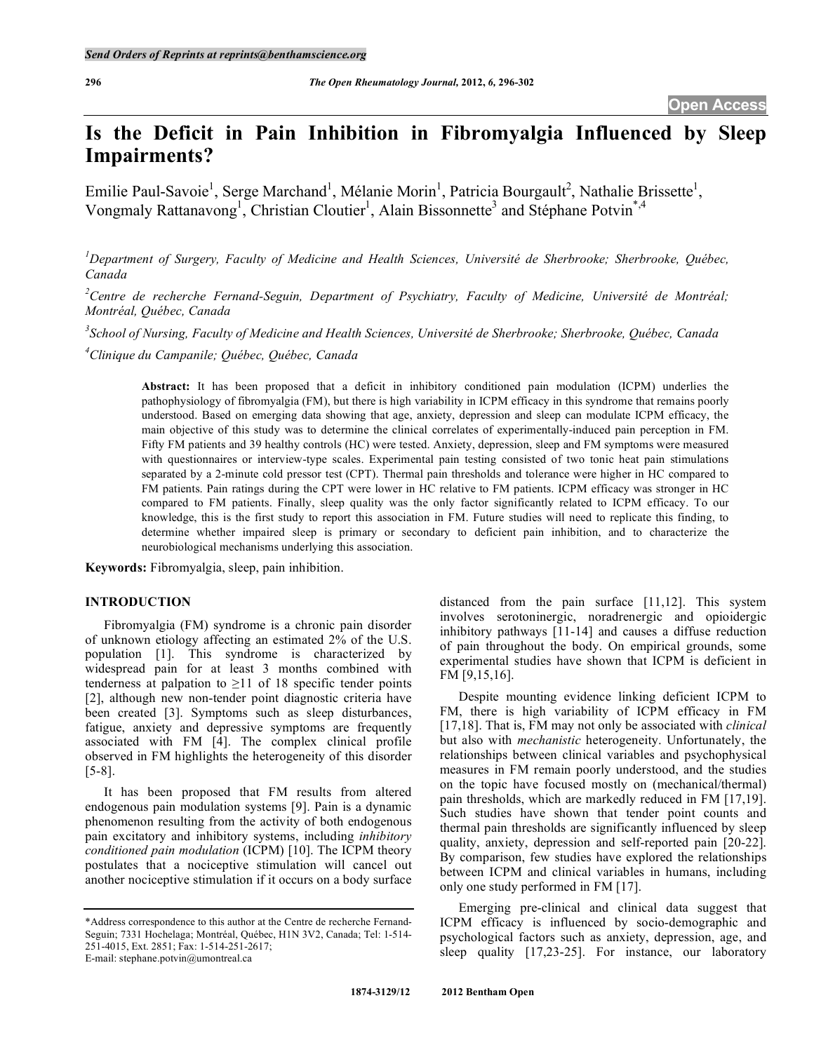# **Is the Deficit in Pain Inhibition in Fibromyalgia Influenced by Sleep Impairments?**

Emilie Paul-Savoie<sup>1</sup>, Serge Marchand<sup>1</sup>, Mélanie Morin<sup>1</sup>, Patricia Bourgault<sup>2</sup>, Nathalie Brissette<sup>1</sup>, Vongmaly Rattanavong<sup>1</sup>, Christian Cloutier<sup>1</sup>, Alain Bissonnette<sup>3</sup> and Stéphane Potvin<sup>\*,4</sup>

*1 Department of Surgery, Faculty of Medicine and Health Sciences, Université de Sherbrooke; Sherbrooke, Québec, Canada* 

*2 Centre de recherche Fernand-Seguin, Department of Psychiatry, Faculty of Medicine, Université de Montréal; Montréal, Québec, Canada* 

*3 School of Nursing, Faculty of Medicine and Health Sciences, Université de Sherbrooke; Sherbrooke, Québec, Canada* 

*4 Clinique du Campanile; Québec, Québec, Canada* 

**Abstract:** It has been proposed that a deficit in inhibitory conditioned pain modulation (ICPM) underlies the pathophysiology of fibromyalgia (FM), but there is high variability in ICPM efficacy in this syndrome that remains poorly understood. Based on emerging data showing that age, anxiety, depression and sleep can modulate ICPM efficacy, the main objective of this study was to determine the clinical correlates of experimentally-induced pain perception in FM. Fifty FM patients and 39 healthy controls (HC) were tested. Anxiety, depression, sleep and FM symptoms were measured with questionnaires or interview-type scales. Experimental pain testing consisted of two tonic heat pain stimulations separated by a 2-minute cold pressor test (CPT). Thermal pain thresholds and tolerance were higher in HC compared to FM patients. Pain ratings during the CPT were lower in HC relative to FM patients. ICPM efficacy was stronger in HC compared to FM patients. Finally, sleep quality was the only factor significantly related to ICPM efficacy. To our knowledge, this is the first study to report this association in FM. Future studies will need to replicate this finding, to determine whether impaired sleep is primary or secondary to deficient pain inhibition, and to characterize the neurobiological mechanisms underlying this association.

**Keywords:** Fibromyalgia, sleep, pain inhibition.

# **INTRODUCTION**

 Fibromyalgia (FM) syndrome is a chronic pain disorder of unknown etiology affecting an estimated 2% of the U.S. population [1]. This syndrome is characterized by widespread pain for at least 3 months combined with tenderness at palpation to  $\geq$ 11 of 18 specific tender points [2], although new non-tender point diagnostic criteria have been created [3]. Symptoms such as sleep disturbances, fatigue, anxiety and depressive symptoms are frequently associated with FM [4]. The complex clinical profile observed in FM highlights the heterogeneity of this disorder [5-8].

 It has been proposed that FM results from altered endogenous pain modulation systems [9]. Pain is a dynamic phenomenon resulting from the activity of both endogenous pain excitatory and inhibitory systems, including *inhibitory conditioned pain modulation* (ICPM) [10]. The ICPM theory postulates that a nociceptive stimulation will cancel out another nociceptive stimulation if it occurs on a body surface

distanced from the pain surface [11,12]. This system involves serotoninergic, noradrenergic and opioidergic inhibitory pathways [11-14] and causes a diffuse reduction of pain throughout the body. On empirical grounds, some experimental studies have shown that ICPM is deficient in FM [9,15,16].

 Despite mounting evidence linking deficient ICPM to FM, there is high variability of ICPM efficacy in FM [17,18]. That is, FM may not only be associated with *clinical* but also with *mechanistic* heterogeneity. Unfortunately, the relationships between clinical variables and psychophysical measures in FM remain poorly understood, and the studies on the topic have focused mostly on (mechanical/thermal) pain thresholds, which are markedly reduced in FM [17,19]. Such studies have shown that tender point counts and thermal pain thresholds are significantly influenced by sleep quality, anxiety, depression and self-reported pain [20-22]. By comparison, few studies have explored the relationships between ICPM and clinical variables in humans, including only one study performed in FM [17].

 Emerging pre-clinical and clinical data suggest that ICPM efficacy is influenced by socio-demographic and psychological factors such as anxiety, depression, age, and sleep quality [17,23-25]. For instance, our laboratory

<sup>\*</sup>Address correspondence to this author at the Centre de recherche Fernand-Seguin; 7331 Hochelaga; Montréal, Québec, H1N 3V2, Canada; Tel: 1-514- 251-4015, Ext. 2851; Fax: 1-514-251-2617; E-mail: stephane.potvin@umontreal.ca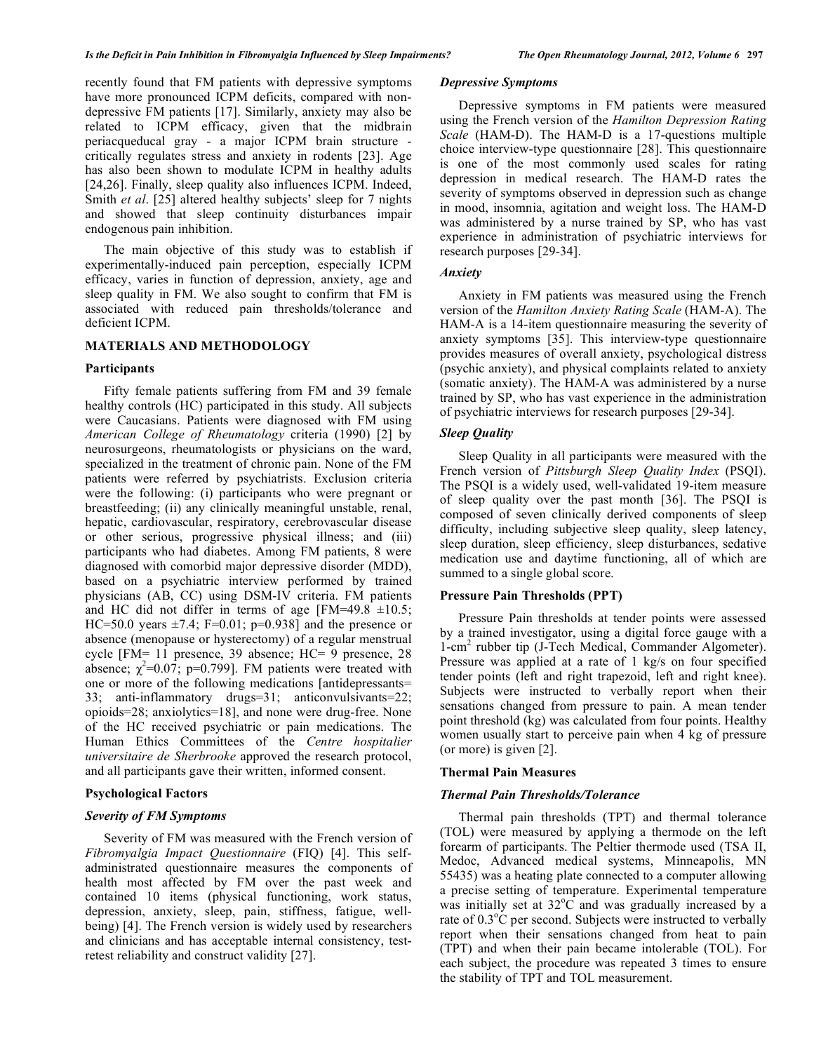recently found that FM patients with depressive symptoms have more pronounced ICPM deficits, compared with nondepressive FM patients [17]. Similarly, anxiety may also be related to ICPM efficacy, given that the midbrain periacqueducal gray - a major ICPM brain structure critically regulates stress and anxiety in rodents [23]. Age has also been shown to modulate ICPM in healthy adults [24,26]. Finally, sleep quality also influences ICPM. Indeed, Smith *et al*. [25] altered healthy subjects' sleep for 7 nights and showed that sleep continuity disturbances impair endogenous pain inhibition.

 The main objective of this study was to establish if experimentally-induced pain perception, especially ICPM efficacy, varies in function of depression, anxiety, age and sleep quality in FM. We also sought to confirm that FM is associated with reduced pain thresholds/tolerance and deficient ICPM.

# **MATERIALS AND METHODOLOGY**

# **Participants**

 Fifty female patients suffering from FM and 39 female healthy controls (HC) participated in this study. All subjects were Caucasians. Patients were diagnosed with FM using *American College of Rheumatology* criteria (1990) [2] by neurosurgeons, rheumatologists or physicians on the ward, specialized in the treatment of chronic pain. None of the FM patients were referred by psychiatrists. Exclusion criteria were the following: (i) participants who were pregnant or breastfeeding; (ii) any clinically meaningful unstable, renal, hepatic, cardiovascular, respiratory, cerebrovascular disease or other serious, progressive physical illness; and (iii) participants who had diabetes. Among FM patients, 8 were diagnosed with comorbid major depressive disorder (MDD), based on a psychiatric interview performed by trained physicians (AB, CC) using DSM-IV criteria. FM patients and HC did not differ in terms of age [FM=49.8  $\pm$ 10.5; HC=50.0 years  $\pm$ 7.4; F=0.01; p=0.938] and the presence or absence (menopause or hysterectomy) of a regular menstrual cycle [FM= 11 presence, 39 absence; HC= 9 presence, 28 absence;  $\chi^2$ =0.07; p=0.799]. FM patients were treated with one or more of the following medications [antidepressants= 33; anti-inflammatory drugs=31; anticonvulsivants=22; opioids=28; anxiolytics=18], and none were drug-free. None of the HC received psychiatric or pain medications. The Human Ethics Committees of the *Centre hospitalier universitaire de Sherbrooke* approved the research protocol, and all participants gave their written, informed consent.

#### **Psychological Factors**

#### *Severity of FM Symptoms*

 Severity of FM was measured with the French version of *Fibromyalgia Impact Questionnaire* (FIQ) [4]. This selfadministrated questionnaire measures the components of health most affected by FM over the past week and contained 10 items (physical functioning, work status, depression, anxiety, sleep, pain, stiffness, fatigue, wellbeing) [4]. The French version is widely used by researchers and clinicians and has acceptable internal consistency, testretest reliability and construct validity [27].

# *Depressive Symptoms*

 Depressive symptoms in FM patients were measured using the French version of the *Hamilton Depression Rating Scale* (HAM-D). The HAM-D is a 17-questions multiple choice interview-type questionnaire [28]. This questionnaire is one of the most commonly used scales for rating depression in medical research. The HAM-D rates the severity of symptoms observed in depression such as change in mood, insomnia, agitation and weight loss. The HAM-D was administered by a nurse trained by SP, who has vast experience in administration of psychiatric interviews for research purposes [29-34].

# *Anxiety*

 Anxiety in FM patients was measured using the French version of the *Hamilton Anxiety Rating Scale* (HAM-A). The HAM-A is a 14-item questionnaire measuring the severity of anxiety symptoms [35]. This interview-type questionnaire provides measures of overall anxiety, psychological distress (psychic anxiety), and physical complaints related to anxiety (somatic anxiety). The HAM-A was administered by a nurse trained by SP, who has vast experience in the administration of psychiatric interviews for research purposes [29-34].

# *Sleep Quality*

 Sleep Quality in all participants were measured with the French version of *Pittsburgh Sleep Quality Index* (PSQI). The PSQI is a widely used, well-validated 19-item measure of sleep quality over the past month [36]. The PSQI is composed of seven clinically derived components of sleep difficulty, including subjective sleep quality, sleep latency, sleep duration, sleep efficiency, sleep disturbances, sedative medication use and daytime functioning, all of which are summed to a single global score.

#### **Pressure Pain Thresholds (PPT)**

 Pressure Pain thresholds at tender points were assessed by a trained investigator, using a digital force gauge with a 1-cm<sup>2</sup> rubber tip (J-Tech Medical, Commander Algometer). Pressure was applied at a rate of 1 kg/s on four specified tender points (left and right trapezoid, left and right knee). Subjects were instructed to verbally report when their sensations changed from pressure to pain. A mean tender point threshold (kg) was calculated from four points. Healthy women usually start to perceive pain when 4 kg of pressure (or more) is given [2].

# **Thermal Pain Measures**

# *Thermal Pain Thresholds/Tolerance*

 Thermal pain thresholds (TPT) and thermal tolerance (TOL) were measured by applying a thermode on the left forearm of participants. The Peltier thermode used (TSA II, Medoc, Advanced medical systems, Minneapolis, MN 55435) was a heating plate connected to a computer allowing a precise setting of temperature. Experimental temperature was initially set at  $32^{\circ}$ C and was gradually increased by a rate of  $0.3\degree$ C per second. Subjects were instructed to verbally report when their sensations changed from heat to pain (TPT) and when their pain became intolerable (TOL). For each subject, the procedure was repeated 3 times to ensure the stability of TPT and TOL measurement.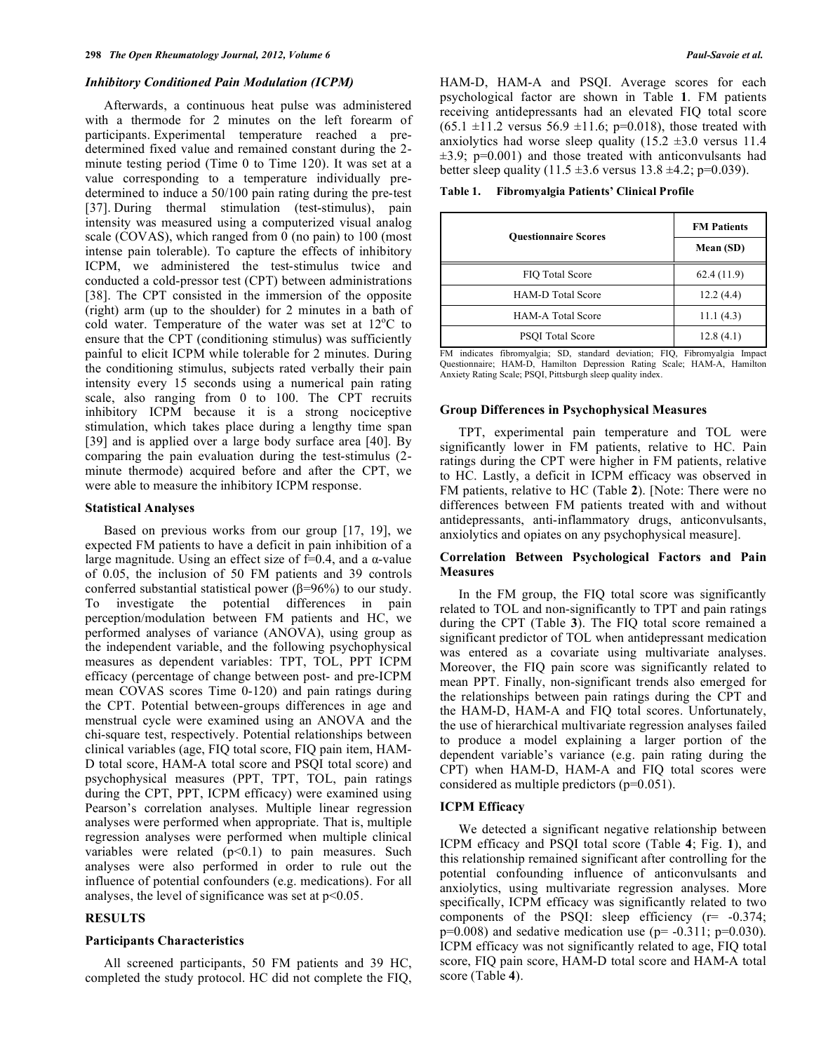#### *Inhibitory Conditioned Pain Modulation (ICPM)*

 Afterwards, a continuous heat pulse was administered with a thermode for 2 minutes on the left forearm of participants. Experimental temperature reached a predetermined fixed value and remained constant during the 2 minute testing period (Time 0 to Time 120). It was set at a value corresponding to a temperature individually predetermined to induce a 50/100 pain rating during the pre-test [37]. During thermal stimulation (test-stimulus), pain intensity was measured using a computerized visual analog scale (COVAS), which ranged from 0 (no pain) to 100 (most intense pain tolerable). To capture the effects of inhibitory ICPM, we administered the test-stimulus twice and conducted a cold-pressor test (CPT) between administrations [38]. The CPT consisted in the immersion of the opposite (right) arm (up to the shoulder) for 2 minutes in a bath of cold water. Temperature of the water was set at  $12^{\circ}$ C to ensure that the CPT (conditioning stimulus) was sufficiently painful to elicit ICPM while tolerable for 2 minutes. During the conditioning stimulus, subjects rated verbally their pain intensity every 15 seconds using a numerical pain rating scale, also ranging from 0 to 100. The CPT recruits inhibitory ICPM because it is a strong nociceptive stimulation, which takes place during a lengthy time span [39] and is applied over a large body surface area [40]. By comparing the pain evaluation during the test-stimulus (2 minute thermode) acquired before and after the CPT, we were able to measure the inhibitory ICPM response.

#### **Statistical Analyses**

 Based on previous works from our group [17, 19], we expected FM patients to have a deficit in pain inhibition of a large magnitude. Using an effect size of  $f=0.4$ , and a  $\alpha$ -value of 0.05, the inclusion of 50 FM patients and 39 controls conferred substantial statistical power ( $\beta$ =96%) to our study. To investigate the potential differences in pain perception/modulation between FM patients and HC, we performed analyses of variance (ANOVA), using group as the independent variable, and the following psychophysical measures as dependent variables: TPT, TOL, PPT ICPM efficacy (percentage of change between post- and pre-ICPM mean COVAS scores Time 0-120) and pain ratings during the CPT. Potential between-groups differences in age and menstrual cycle were examined using an ANOVA and the chi-square test, respectively. Potential relationships between clinical variables (age, FIQ total score, FIQ pain item, HAM-D total score, HAM-A total score and PSQI total score) and psychophysical measures (PPT, TPT, TOL, pain ratings during the CPT, PPT, ICPM efficacy) were examined using Pearson's correlation analyses. Multiple linear regression analyses were performed when appropriate. That is, multiple regression analyses were performed when multiple clinical variables were related  $(p<0.1)$  to pain measures. Such analyses were also performed in order to rule out the influence of potential confounders (e.g. medications). For all analyses, the level of significance was set at  $p<0.05$ .

# **RESULTS**

# **Participants Characteristics**

 All screened participants, 50 FM patients and 39 HC, completed the study protocol. HC did not complete the FIQ, HAM-D, HAM-A and PSQI. Average scores for each psychological factor are shown in Table **1**. FM patients receiving antidepressants had an elevated FIQ total score  $(65.1 \pm 11.2 \text{ versus } 56.9 \pm 11.6; \text{ p=0.018})$ , those treated with anxiolytics had worse sleep quality  $(15.2 \pm 3.0 \text{ versus } 11.4)$  $\pm 3.9$ ; p=0.001) and those treated with anticonvulsants had better sleep quality (11.5  $\pm$ 3.6 versus 13.8  $\pm$ 4.2; p=0.039).

**Table 1. Fibromyalgia Patients' Clinical Profile** 

| <b>Ouestionnaire Scores</b> | <b>FM Patients</b><br>Mean (SD) |  |
|-----------------------------|---------------------------------|--|
| FIO Total Score             | 62.4(11.9)                      |  |
| <b>HAM-D</b> Total Score    | 12.2(4.4)                       |  |
| <b>HAM-A Total Score</b>    | 11.1(4.3)                       |  |
| <b>PSOI</b> Total Score     | 12.8(4.1)                       |  |

FM indicates fibromyalgia; SD, standard deviation; FIQ, Fibromyalgia Impact Questionnaire; HAM-D, Hamilton Depression Rating Scale; HAM-A, Hamilton Anxiety Rating Scale; PSQI, Pittsburgh sleep quality index.

## **Group Differences in Psychophysical Measures**

 TPT, experimental pain temperature and TOL were significantly lower in FM patients, relative to HC. Pain ratings during the CPT were higher in FM patients, relative to HC. Lastly, a deficit in ICPM efficacy was observed in FM patients, relative to HC (Table **2**). [Note: There were no differences between FM patients treated with and without antidepressants, anti-inflammatory drugs, anticonvulsants, anxiolytics and opiates on any psychophysical measure].

# **Correlation Between Psychological Factors and Pain Measures**

 In the FM group, the FIQ total score was significantly related to TOL and non-significantly to TPT and pain ratings during the CPT (Table **3**). The FIQ total score remained a significant predictor of TOL when antidepressant medication was entered as a covariate using multivariate analyses. Moreover, the FIQ pain score was significantly related to mean PPT. Finally, non-significant trends also emerged for the relationships between pain ratings during the CPT and the HAM-D, HAM-A and FIQ total scores. Unfortunately, the use of hierarchical multivariate regression analyses failed to produce a model explaining a larger portion of the dependent variable's variance (e.g. pain rating during the CPT) when HAM-D, HAM-A and FIQ total scores were considered as multiple predictors (p=0.051).

# **ICPM Efficacy**

 We detected a significant negative relationship between ICPM efficacy and PSQI total score (Table **4**; Fig. **1**), and this relationship remained significant after controlling for the potential confounding influence of anticonvulsants and anxiolytics, using multivariate regression analyses. More specifically, ICPM efficacy was significantly related to two components of the PSQI: sleep efficiency (r= -0.374;  $p=0.008$ ) and sedative medication use ( $p=-0.311$ ;  $p=0.030$ ). ICPM efficacy was not significantly related to age, FIQ total score, FIQ pain score, HAM-D total score and HAM-A total score (Table **4**).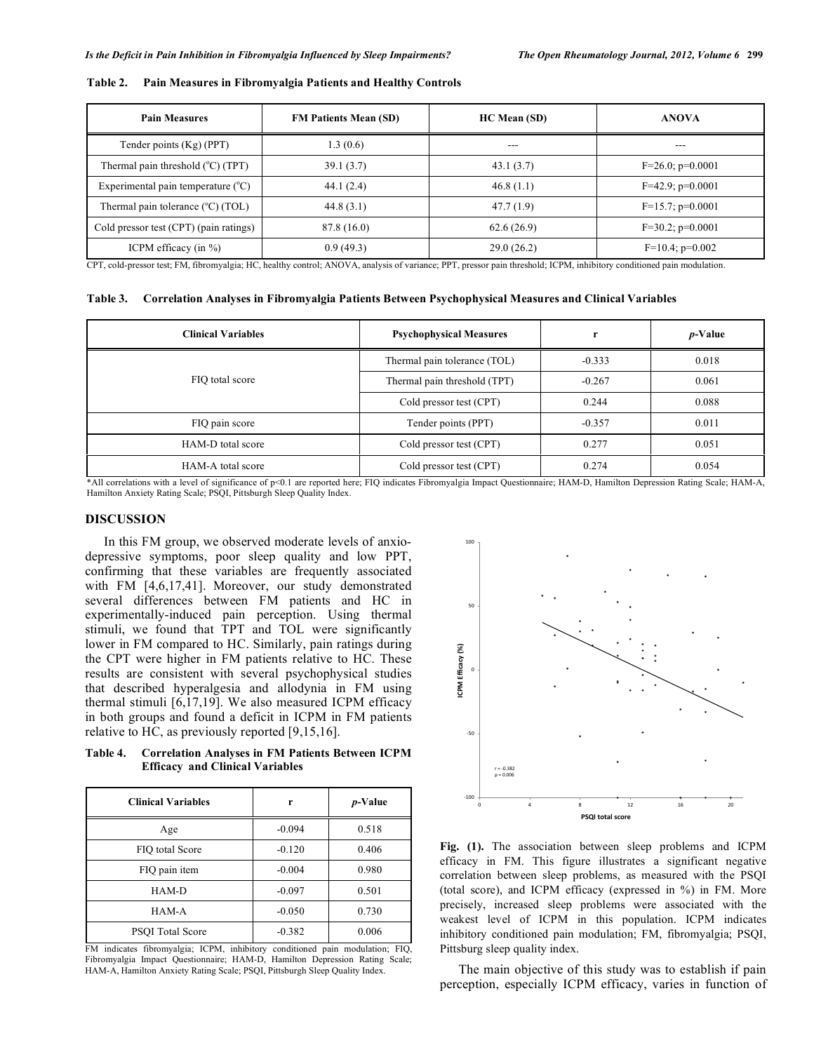| <b>Pain Measures</b>                        | <b>FM Patients Mean (SD)</b> | <b>HC</b> Mean (SD) | <b>ANOVA</b>          |
|---------------------------------------------|------------------------------|---------------------|-----------------------|
| Tender points $(Kg)$ (PPT)                  | 1.3(0.6)                     | ---                 | ---                   |
| Thermal pain threshold $(^{\circ}C)$ (TPT)  | 39.1(3.7)                    | 43.1(3.7)           | $F=26.0; p=0.0001$    |
| Experimental pain temperature $(^{\circ}C)$ | 44.1(2.4)                    | 46.8(1.1)           | $F=42.9$ ; $p=0.0001$ |
| Thermal pain tolerance (°C) (TOL)           | 44.8(3.1)                    | 47.7(1.9)           | $F=15.7$ ; $p=0.0001$ |
| Cold pressor test (CPT) (pain ratings)      | 87.8 (16.0)                  | 62.6(26.9)          | $F=30.2$ ; $p=0.0001$ |
| ICPM efficacy (in $\%$ )                    | 0.9(49.3)                    | 29.0(26.2)          | $F=10.4$ ; $p=0.002$  |

| Table 2. Pain Measures in Fibromyalgia Patients and Healthy Controls |
|----------------------------------------------------------------------|
|                                                                      |

CPT, cold-pressor test; FM, fibromyalgia; HC, healthy control; ANOVA, analysis of variance; PPT, pressor pain threshold; ICPM, inhibitory conditioned pain modulation.

**Table 3. Correlation Analyses in Fibromyalgia Patients Between Psychophysical Measures and Clinical Variables** 

| <b>Clinical Variables</b> | <b>Psychophysical Measures</b> | r        | $p$ -Value |
|---------------------------|--------------------------------|----------|------------|
| FIQ total score           | Thermal pain tolerance (TOL)   | $-0.333$ | 0.018      |
|                           | Thermal pain threshold (TPT)   | $-0.267$ | 0.061      |
|                           | Cold pressor test (CPT)        | 0.244    | 0.088      |
| FIQ pain score            | Tender points (PPT)            | $-0.357$ | 0.011      |
| HAM-D total score         | Cold pressor test (CPT)        | 0.277    | 0.051      |
| HAM-A total score         | Cold pressor test (CPT)        | 0.274    | 0.054      |

\*All correlations with a level of significance of p<0.1 are reported here; FIQ indicates Fibromyalgia Impact Questionnaire; HAM-D, Hamilton Depression Rating Scale; HAM-A, Hamilton Anxiety Rating Scale; PSQI, Pittsburgh Sleep Quality Index.

# **DISCUSSION**

 In this FM group, we observed moderate levels of anxiodepressive symptoms, poor sleep quality and low PPT, confirming that these variables are frequently associated with FM [4,6,17,41]. Moreover, our study demonstrated several differences between FM patients and HC in experimentally-induced pain perception. Using thermal stimuli, we found that TPT and TOL were significantly lower in FM compared to HC. Similarly, pain ratings during the CPT were higher in FM patients relative to HC. These results are consistent with several psychophysical studies that described hyperalgesia and allodynia in FM using thermal stimuli  $[6,17,19]$ . We also measured ICPM efficacy in both groups and found a deficit in ICPM in FM patients relative to HC, as previously reported [9,15,16].

**Table 4. Correlation Analyses in FM Patients Between ICPM Efficacy and Clinical Variables** 

| <b>Clinical Variables</b> | r        | <i>p</i> -Value |
|---------------------------|----------|-----------------|
| Age                       | $-0.094$ | 0.518           |
| FIO total Score           | $-0.120$ | 0.406           |
| FIQ pain item             | $-0.004$ | 0.980           |
| HAM-D                     | $-0.097$ | 0.501           |
| HAM-A                     | $-0.050$ | 0.730           |
| PSOI Total Score          | $-0.382$ | 0.006           |

FM indicates fibromyalgia; ICPM, inhibitory conditioned pain modulation; FIQ, Fibromyalgia Impact Questionnaire; HAM-D, Hamilton Depression Rating Scale; HAM-A, Hamilton Anxiety Rating Scale; PSQI, Pittsburgh Sleep Quality Index.



**Fig. (1).** The association between sleep problems and ICPM efficacy in FM. This figure illustrates a significant negative correlation between sleep problems, as measured with the PSQI (total score), and ICPM efficacy (expressed in %) in FM. More precisely, increased sleep problems were associated with the weakest level of ICPM in this population. ICPM indicates inhibitory conditioned pain modulation; FM, fibromyalgia; PSQI, Pittsburg sleep quality index.

 The main objective of this study was to establish if pain perception, especially ICPM efficacy, varies in function of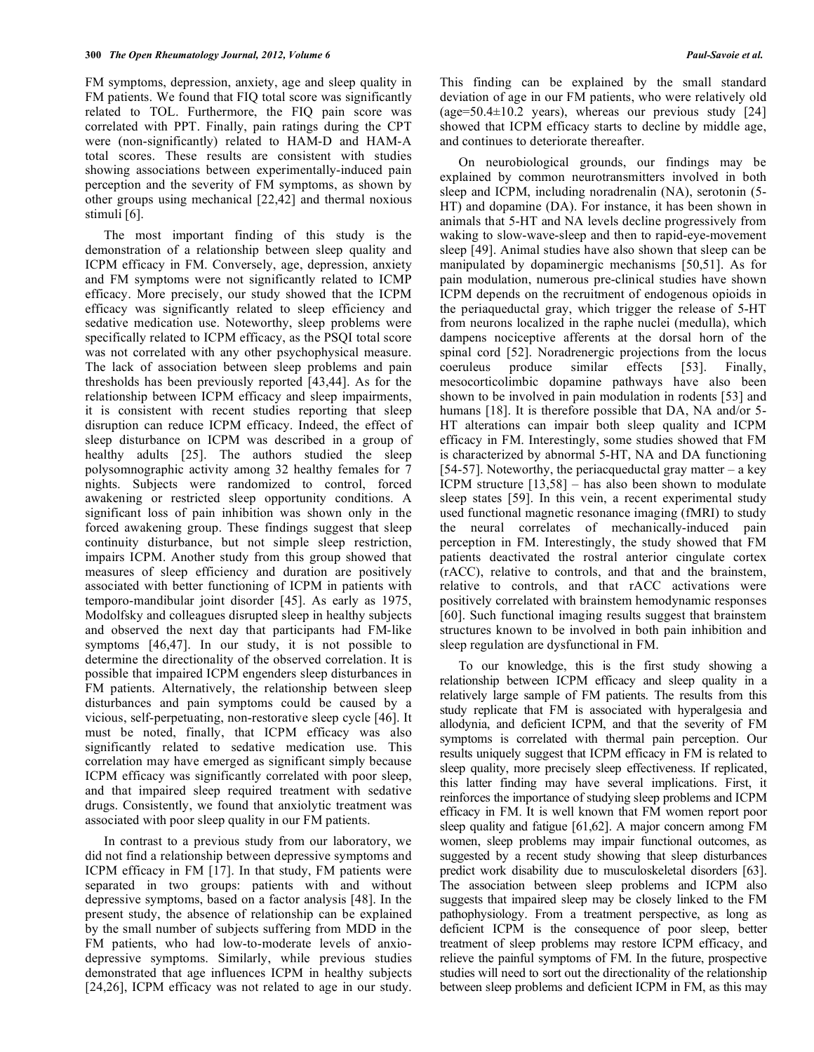FM symptoms, depression, anxiety, age and sleep quality in FM patients. We found that FIQ total score was significantly related to TOL. Furthermore, the FIQ pain score was correlated with PPT. Finally, pain ratings during the CPT were (non-significantly) related to HAM-D and HAM-A total scores. These results are consistent with studies showing associations between experimentally-induced pain perception and the severity of FM symptoms, as shown by other groups using mechanical [22,42] and thermal noxious stimuli [6].

 The most important finding of this study is the demonstration of a relationship between sleep quality and ICPM efficacy in FM. Conversely, age, depression, anxiety and FM symptoms were not significantly related to ICMP efficacy. More precisely, our study showed that the ICPM efficacy was significantly related to sleep efficiency and sedative medication use. Noteworthy, sleep problems were specifically related to ICPM efficacy, as the PSQI total score was not correlated with any other psychophysical measure. The lack of association between sleep problems and pain thresholds has been previously reported [43,44]. As for the relationship between ICPM efficacy and sleep impairments, it is consistent with recent studies reporting that sleep disruption can reduce ICPM efficacy. Indeed, the effect of sleep disturbance on ICPM was described in a group of healthy adults [25]. The authors studied the sleep polysomnographic activity among 32 healthy females for 7 nights. Subjects were randomized to control, forced awakening or restricted sleep opportunity conditions. A significant loss of pain inhibition was shown only in the forced awakening group. These findings suggest that sleep continuity disturbance, but not simple sleep restriction, impairs ICPM. Another study from this group showed that measures of sleep efficiency and duration are positively associated with better functioning of ICPM in patients with temporo-mandibular joint disorder [45]. As early as 1975, Modolfsky and colleagues disrupted sleep in healthy subjects and observed the next day that participants had FM-like symptoms [46,47]. In our study, it is not possible to determine the directionality of the observed correlation. It is possible that impaired ICPM engenders sleep disturbances in FM patients. Alternatively, the relationship between sleep disturbances and pain symptoms could be caused by a vicious, self-perpetuating, non-restorative sleep cycle [46]. It must be noted, finally, that ICPM efficacy was also significantly related to sedative medication use. This correlation may have emerged as significant simply because ICPM efficacy was significantly correlated with poor sleep, and that impaired sleep required treatment with sedative drugs. Consistently, we found that anxiolytic treatment was associated with poor sleep quality in our FM patients.

 In contrast to a previous study from our laboratory, we did not find a relationship between depressive symptoms and ICPM efficacy in FM [17]. In that study, FM patients were separated in two groups: patients with and without depressive symptoms, based on a factor analysis [48]. In the present study, the absence of relationship can be explained by the small number of subjects suffering from MDD in the FM patients, who had low-to-moderate levels of anxiodepressive symptoms. Similarly, while previous studies demonstrated that age influences ICPM in healthy subjects [24,26], ICPM efficacy was not related to age in our study.

This finding can be explained by the small standard deviation of age in our FM patients, who were relatively old (age= $50.4\pm10.2$  years), whereas our previous study [24] showed that ICPM efficacy starts to decline by middle age, and continues to deteriorate thereafter.

 On neurobiological grounds, our findings may be explained by common neurotransmitters involved in both sleep and ICPM, including noradrenalin (NA), serotonin (5- HT) and dopamine (DA). For instance, it has been shown in animals that 5-HT and NA levels decline progressively from waking to slow-wave-sleep and then to rapid-eye-movement sleep [49]. Animal studies have also shown that sleep can be manipulated by dopaminergic mechanisms [50,51]. As for pain modulation, numerous pre-clinical studies have shown ICPM depends on the recruitment of endogenous opioids in the periaqueductal gray, which trigger the release of 5-HT from neurons localized in the raphe nuclei (medulla), which dampens nociceptive afferents at the dorsal horn of the spinal cord [52]. Noradrenergic projections from the locus coeruleus produce similar effects [53]. Finally, mesocorticolimbic dopamine pathways have also been shown to be involved in pain modulation in rodents [53] and humans [18]. It is therefore possible that DA, NA and/or 5-HT alterations can impair both sleep quality and ICPM efficacy in FM. Interestingly, some studies showed that FM is characterized by abnormal 5-HT, NA and DA functioning [54-57]. Noteworthy, the periacqueductal gray matter  $-$  a key ICPM structure  $[13,58]$  – has also been shown to modulate sleep states [59]. In this vein, a recent experimental study used functional magnetic resonance imaging (fMRI) to study the neural correlates of mechanically-induced pain perception in FM. Interestingly, the study showed that FM patients deactivated the rostral anterior cingulate cortex (rACC), relative to controls, and that and the brainstem, relative to controls, and that rACC activations were positively correlated with brainstem hemodynamic responses [60]. Such functional imaging results suggest that brainstem structures known to be involved in both pain inhibition and sleep regulation are dysfunctional in FM.

 To our knowledge, this is the first study showing a relationship between ICPM efficacy and sleep quality in a relatively large sample of FM patients. The results from this study replicate that FM is associated with hyperalgesia and allodynia, and deficient ICPM, and that the severity of FM symptoms is correlated with thermal pain perception. Our results uniquely suggest that ICPM efficacy in FM is related to sleep quality, more precisely sleep effectiveness. If replicated, this latter finding may have several implications. First, it reinforces the importance of studying sleep problems and ICPM efficacy in FM. It is well known that FM women report poor sleep quality and fatigue [61,62]. A major concern among FM women, sleep problems may impair functional outcomes, as suggested by a recent study showing that sleep disturbances predict work disability due to musculoskeletal disorders [63]. The association between sleep problems and ICPM also suggests that impaired sleep may be closely linked to the FM pathophysiology. From a treatment perspective, as long as deficient ICPM is the consequence of poor sleep, better treatment of sleep problems may restore ICPM efficacy, and relieve the painful symptoms of FM. In the future, prospective studies will need to sort out the directionality of the relationship between sleep problems and deficient ICPM in FM, as this may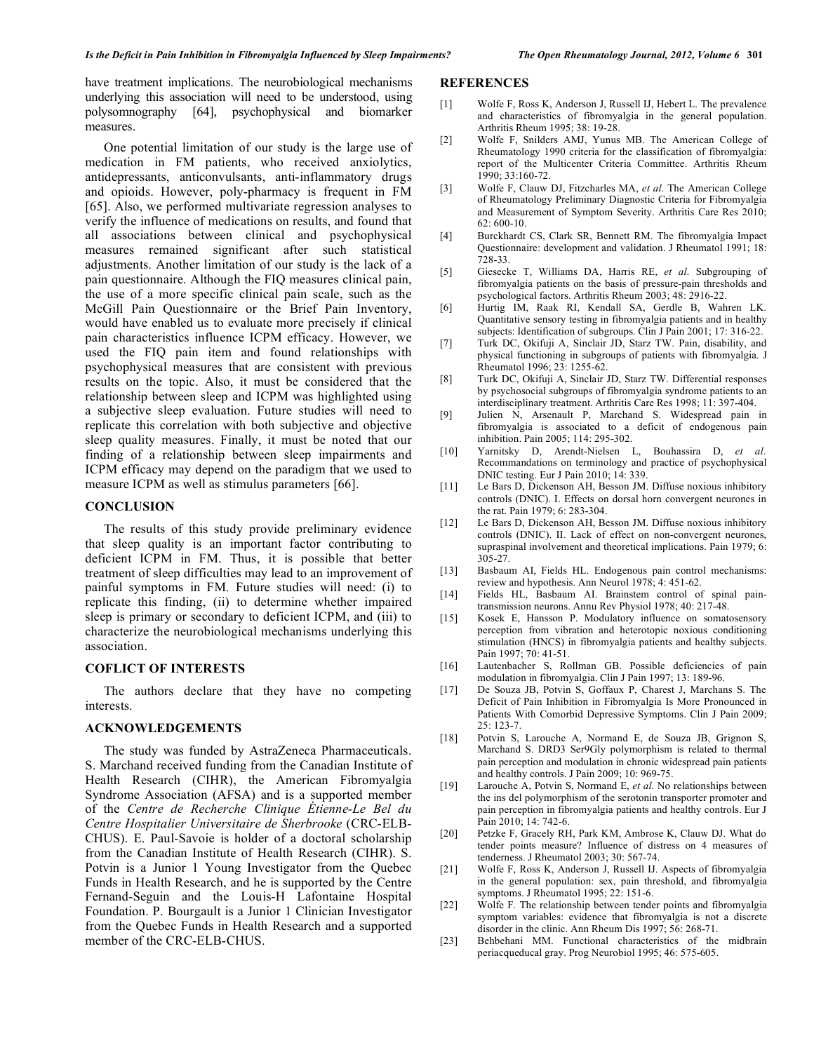have treatment implications. The neurobiological mechanisms underlying this association will need to be understood, using polysomnography [64], psychophysical and biomarker measures.

 One potential limitation of our study is the large use of medication in FM patients, who received anxiolytics, antidepressants, anticonvulsants, anti-inflammatory drugs and opioids. However, poly-pharmacy is frequent in FM [65]. Also, we performed multivariate regression analyses to verify the influence of medications on results, and found that all associations between clinical and psychophysical measures remained significant after such statistical adjustments. Another limitation of our study is the lack of a pain questionnaire. Although the FIQ measures clinical pain, the use of a more specific clinical pain scale, such as the McGill Pain Questionnaire or the Brief Pain Inventory, would have enabled us to evaluate more precisely if clinical pain characteristics influence ICPM efficacy. However, we used the FIQ pain item and found relationships with psychophysical measures that are consistent with previous results on the topic. Also, it must be considered that the relationship between sleep and ICPM was highlighted using a subjective sleep evaluation. Future studies will need to replicate this correlation with both subjective and objective sleep quality measures. Finally, it must be noted that our finding of a relationship between sleep impairments and ICPM efficacy may depend on the paradigm that we used to measure ICPM as well as stimulus parameters [66].

## **CONCLUSION**

 The results of this study provide preliminary evidence that sleep quality is an important factor contributing to deficient ICPM in FM. Thus, it is possible that better treatment of sleep difficulties may lead to an improvement of painful symptoms in FM. Future studies will need: (i) to replicate this finding, (ii) to determine whether impaired sleep is primary or secondary to deficient ICPM, and (iii) to characterize the neurobiological mechanisms underlying this association.

# **COFLICT OF INTERESTS**

 The authors declare that they have no competing interests.

# **ACKNOWLEDGEMENTS**

 The study was funded by AstraZeneca Pharmaceuticals. S. Marchand received funding from the Canadian Institute of Health Research (CIHR), the American Fibromyalgia Syndrome Association (AFSA) and is a supported member of the *Centre de Recherche Clinique Étienne-Le Bel du Centre Hospitalier Universitaire de Sherbrooke* (CRC-ELB-CHUS). E. Paul-Savoie is holder of a doctoral scholarship from the Canadian Institute of Health Research (CIHR). S. Potvin is a Junior 1 Young Investigator from the Quebec Funds in Health Research, and he is supported by the Centre Fernand-Seguin and the Louis-H Lafontaine Hospital Foundation. P. Bourgault is a Junior 1 Clinician Investigator from the Quebec Funds in Health Research and a supported member of the CRC-ELB-CHUS.

#### **REFERENCES**

- [1] Wolfe F, Ross K, Anderson J, Russell IJ, Hebert L. The prevalence and characteristics of fibromyalgia in the general population. Arthritis Rheum 1995; 38: 19-28.
- [2] Wolfe F, Snilders AMJ, Yunus MB. The American College of Rheumatology 1990 criteria for the classification of fibromyalgia: report of the Multicenter Criteria Committee. Arthritis Rheum 1990; 33:160-72.
- [3] Wolfe F, Clauw DJ, Fitzcharles MA, *et al*. The American College of Rheumatology Preliminary Diagnostic Criteria for Fibromyalgia and Measurement of Symptom Severity. Arthritis Care Res 2010;  $62:600-10.$
- [4] Burckhardt CS, Clark SR, Bennett RM. The fibromyalgia Impact Questionnaire: development and validation. J Rheumatol 1991; 18: 728-33.
- [5] Giesecke T, Williams DA, Harris RE, *et al*. Subgrouping of fibromyalgia patients on the basis of pressure-pain thresholds and psychological factors. Arthritis Rheum 2003; 48: 2916-22.
- [6] Hurtig IM, Raak RI, Kendall SA, Gerdle B, Wahren LK. Quantitative sensory testing in fibromyalgia patients and in healthy subjects: Identification of subgroups. Clin J Pain 2001; 17: 316-22.
- [7] Turk DC, Okifuji A, Sinclair JD, Starz TW. Pain, disability, and physical functioning in subgroups of patients with fibromyalgia. J Rheumatol 1996; 23: 1255-62.
- [8] Turk DC, Okifuji A, Sinclair JD, Starz TW. Differential responses by psychosocial subgroups of fibromyalgia syndrome patients to an interdisciplinary treatment. Arthritis Care Res 1998; 11: 397-404.
- [9] Julien N, Arsenault P, Marchand S. Widespread pain in fibromyalgia is associated to a deficit of endogenous pain inhibition. Pain 2005; 114: 295-302.
- [10] Yarnitsky D, Arendt-Nielsen L, Bouhassira D, *et al*. Recommandations on terminology and practice of psychophysical DNIC testing. Eur J Pain 2010; 14: 339.
- [11] Le Bars D, Dickenson AH, Besson JM. Diffuse noxious inhibitory controls (DNIC). I. Effects on dorsal horn convergent neurones in the rat. Pain 1979; 6: 283-304.
- [12] Le Bars D, Dickenson AH, Besson JM. Diffuse noxious inhibitory controls (DNIC). II. Lack of effect on non-convergent neurones, supraspinal involvement and theoretical implications. Pain 1979; 6:  $305 - 27$ .
- [13] Basbaum AI, Fields HL. Endogenous pain control mechanisms: review and hypothesis. Ann Neurol 1978; 4: 451-62.
- [14] Fields HL, Basbaum AI. Brainstem control of spinal paintransmission neurons. Annu Rev Physiol 1978; 40: 217-48.
- [15] Kosek E, Hansson P. Modulatory influence on somatosensory perception from vibration and heterotopic noxious conditioning stimulation (HNCS) in fibromyalgia patients and healthy subjects. Pain 1997; 70: 41-51.
- [16] Lautenbacher S, Rollman GB. Possible deficiencies of pain modulation in fibromyalgia. Clin J Pain 1997; 13: 189-96.
- [17] De Souza JB, Potvin S, Goffaux P, Charest J, Marchans S. The Deficit of Pain Inhibition in Fibromyalgia Is More Pronounced in Patients With Comorbid Depressive Symptoms. Clin J Pain 2009; 25: 123-7.
- [18] Potvin S, Larouche A, Normand E, de Souza JB, Grignon S, Marchand S. DRD3 Ser9Gly polymorphism is related to thermal pain perception and modulation in chronic widespread pain patients and healthy controls. J Pain 2009; 10: 969-75.
- [19] Larouche A, Potvin S, Normand E, *et al*. No relationships between the ins del polymorphism of the serotonin transporter promoter and pain perception in fibromyalgia patients and healthy controls. Eur J Pain 2010; 14: 742-6.
- [20] Petzke F, Gracely RH, Park KM, Ambrose K, Clauw DJ. What do tender points measure? Influence of distress on 4 measures of tenderness. J Rheumatol 2003; 30: 567-74.
- [21] Wolfe F, Ross K, Anderson J, Russell IJ. Aspects of fibromyalgia in the general population: sex, pain threshold, and fibromyalgia symptoms. J Rheumatol 1995; 22: 151-6.
- [22] Wolfe F. The relationship between tender points and fibromyalgia symptom variables: evidence that fibromyalgia is not a discrete disorder in the clinic. Ann Rheum Dis 1997; 56: 268-71.
- [23] Behbehani MM. Functional characteristics of the midbrain periacqueducal gray. Prog Neurobiol 1995; 46: 575-605.